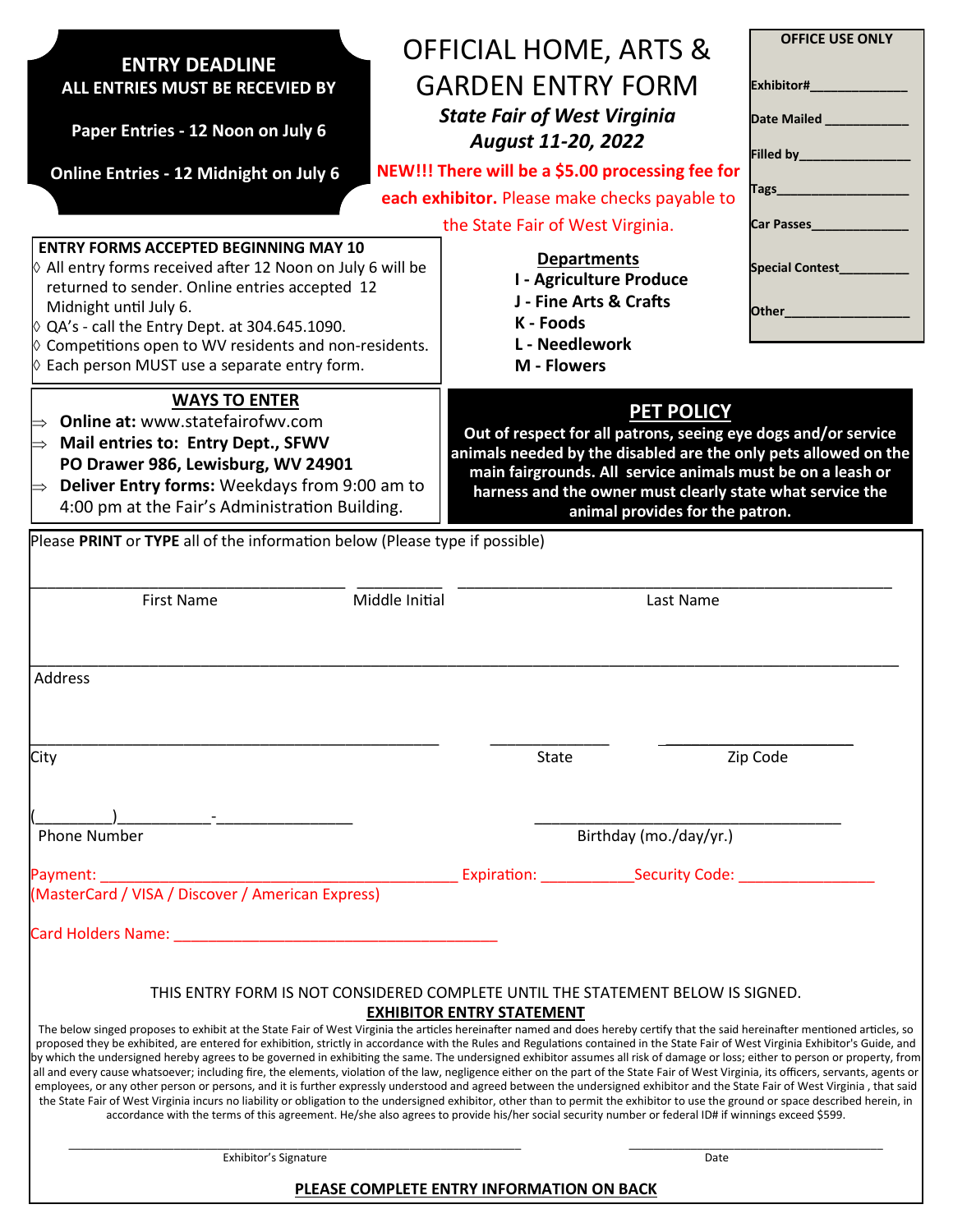|                                                                                                                                          | <b>OFFICIAL HOME, ARTS &amp;</b>                                                                                                                                                                                                                                                                                                                                         | <b>OFFICE USE ONLY</b>    |  |  |  |
|------------------------------------------------------------------------------------------------------------------------------------------|--------------------------------------------------------------------------------------------------------------------------------------------------------------------------------------------------------------------------------------------------------------------------------------------------------------------------------------------------------------------------|---------------------------|--|--|--|
| <b>ENTRY DEADLINE</b><br>ALL ENTRIES MUST BE RECEVIED BY                                                                                 | <b>GARDEN ENTRY FORM</b>                                                                                                                                                                                                                                                                                                                                                 |                           |  |  |  |
|                                                                                                                                          | <b>State Fair of West Virginia</b>                                                                                                                                                                                                                                                                                                                                       | Date Mailed _____________ |  |  |  |
| Paper Entries - 12 Noon on July 6                                                                                                        | August 11-20, 2022                                                                                                                                                                                                                                                                                                                                                       |                           |  |  |  |
| <b>Online Entries - 12 Midnight on July 6</b>                                                                                            | NEW!!! There will be a \$5.00 processing fee for                                                                                                                                                                                                                                                                                                                         |                           |  |  |  |
|                                                                                                                                          | Tags <sub>_________________________</sub><br>each exhibitor. Please make checks payable to                                                                                                                                                                                                                                                                               |                           |  |  |  |
|                                                                                                                                          | the State Fair of West Virginia.                                                                                                                                                                                                                                                                                                                                         | Car Passes________        |  |  |  |
| <b>ENTRY FORMS ACCEPTED BEGINNING MAY 10</b><br>$\lozenge$ All entry forms received after 12 Noon on July 6 will be                      | <b>Departments</b>                                                                                                                                                                                                                                                                                                                                                       | Special Contest________   |  |  |  |
| returned to sender. Online entries accepted 12                                                                                           | I - Agriculture Produce<br>J - Fine Arts & Crafts                                                                                                                                                                                                                                                                                                                        |                           |  |  |  |
| Midnight until July 6.<br>$\lozenge$ QA's - call the Entry Dept. at 304.645.1090.                                                        | K - Foods                                                                                                                                                                                                                                                                                                                                                                | Other_                    |  |  |  |
| $\lozenge$ Competitions open to WV residents and non-residents.                                                                          | L - Needlework                                                                                                                                                                                                                                                                                                                                                           |                           |  |  |  |
| $\lozenge$ Each person MUST use a separate entry form.                                                                                   | <b>M</b> - Flowers                                                                                                                                                                                                                                                                                                                                                       |                           |  |  |  |
| <b>WAYS TO ENTER</b>                                                                                                                     | <b>PET POLICY</b>                                                                                                                                                                                                                                                                                                                                                        |                           |  |  |  |
| Online at: www.statefairofwv.com<br>Out of respect for all patrons, seeing eye dogs and/or service<br>Mail entries to: Entry Dept., SFWV |                                                                                                                                                                                                                                                                                                                                                                          |                           |  |  |  |
| $\Rightarrow$<br>PO Drawer 986, Lewisburg, WV 24901                                                                                      | animals needed by the disabled are the only pets allowed on the                                                                                                                                                                                                                                                                                                          |                           |  |  |  |
| Deliver Entry forms: Weekdays from 9:00 am to<br>$\Rightarrow$                                                                           | main fairgrounds. All service animals must be on a leash or<br>harness and the owner must clearly state what service the                                                                                                                                                                                                                                                 |                           |  |  |  |
| 4:00 pm at the Fair's Administration Building.                                                                                           | animal provides for the patron.                                                                                                                                                                                                                                                                                                                                          |                           |  |  |  |
| Please PRINT or TYPE all of the information below (Please type if possible)                                                              |                                                                                                                                                                                                                                                                                                                                                                          |                           |  |  |  |
|                                                                                                                                          |                                                                                                                                                                                                                                                                                                                                                                          |                           |  |  |  |
| <b>First Name</b>                                                                                                                        | Middle Initial<br>Last Name                                                                                                                                                                                                                                                                                                                                              |                           |  |  |  |
|                                                                                                                                          |                                                                                                                                                                                                                                                                                                                                                                          |                           |  |  |  |
|                                                                                                                                          |                                                                                                                                                                                                                                                                                                                                                                          |                           |  |  |  |
|                                                                                                                                          |                                                                                                                                                                                                                                                                                                                                                                          |                           |  |  |  |
| Address                                                                                                                                  |                                                                                                                                                                                                                                                                                                                                                                          |                           |  |  |  |
|                                                                                                                                          |                                                                                                                                                                                                                                                                                                                                                                          |                           |  |  |  |
|                                                                                                                                          |                                                                                                                                                                                                                                                                                                                                                                          |                           |  |  |  |
| City                                                                                                                                     | State                                                                                                                                                                                                                                                                                                                                                                    | Zip Code                  |  |  |  |
|                                                                                                                                          |                                                                                                                                                                                                                                                                                                                                                                          |                           |  |  |  |
|                                                                                                                                          |                                                                                                                                                                                                                                                                                                                                                                          |                           |  |  |  |
| <b>Phone Number</b>                                                                                                                      | Birthday (mo./day/yr.)                                                                                                                                                                                                                                                                                                                                                   |                           |  |  |  |
|                                                                                                                                          | Payment: expiration: Expiration: Security Code: Expiration: Security Code:                                                                                                                                                                                                                                                                                               |                           |  |  |  |
|                                                                                                                                          |                                                                                                                                                                                                                                                                                                                                                                          |                           |  |  |  |
| (MasterCard / VISA / Discover / American Express)                                                                                        |                                                                                                                                                                                                                                                                                                                                                                          |                           |  |  |  |
|                                                                                                                                          |                                                                                                                                                                                                                                                                                                                                                                          |                           |  |  |  |
|                                                                                                                                          |                                                                                                                                                                                                                                                                                                                                                                          |                           |  |  |  |
|                                                                                                                                          | THIS ENTRY FORM IS NOT CONSIDERED COMPLETE UNTIL THE STATEMENT BELOW IS SIGNED.                                                                                                                                                                                                                                                                                          |                           |  |  |  |
|                                                                                                                                          | <b>EXHIBITOR ENTRY STATEMENT</b><br>The below singed proposes to exhibit at the State Fair of West Virginia the articles hereinafter named and does hereby certify that the said hereinafter mentioned articles, so                                                                                                                                                      |                           |  |  |  |
|                                                                                                                                          | proposed they be exhibited, are entered for exhibition, strictly in accordance with the Rules and Regulations contained in the State Fair of West Virginia Exhibitor's Guide, and<br>by which the undersigned hereby agrees to be governed in exhibiting the same. The undersigned exhibitor assumes all risk of damage or loss; either to person or property, from      |                           |  |  |  |
|                                                                                                                                          | all and every cause whatsoever; including fire, the elements, violation of the law, negligence either on the part of the State Fair of West Virginia, its officers, servants, agents or<br>employees, or any other person or persons, and it is further expressly understood and agreed between the undersigned exhibitor and the State Fair of West Virginia, that said |                           |  |  |  |
|                                                                                                                                          | the State Fair of West Virginia incurs no liability or obligation to the undersigned exhibitor, other than to permit the exhibitor to use the ground or space described herein, in<br>accordance with the terms of this agreement. He/she also agrees to provide his/her social security number or federal ID# if winnings exceed \$599.                                 |                           |  |  |  |
|                                                                                                                                          |                                                                                                                                                                                                                                                                                                                                                                          |                           |  |  |  |
| Exhibitor's Signature                                                                                                                    |                                                                                                                                                                                                                                                                                                                                                                          | Date                      |  |  |  |